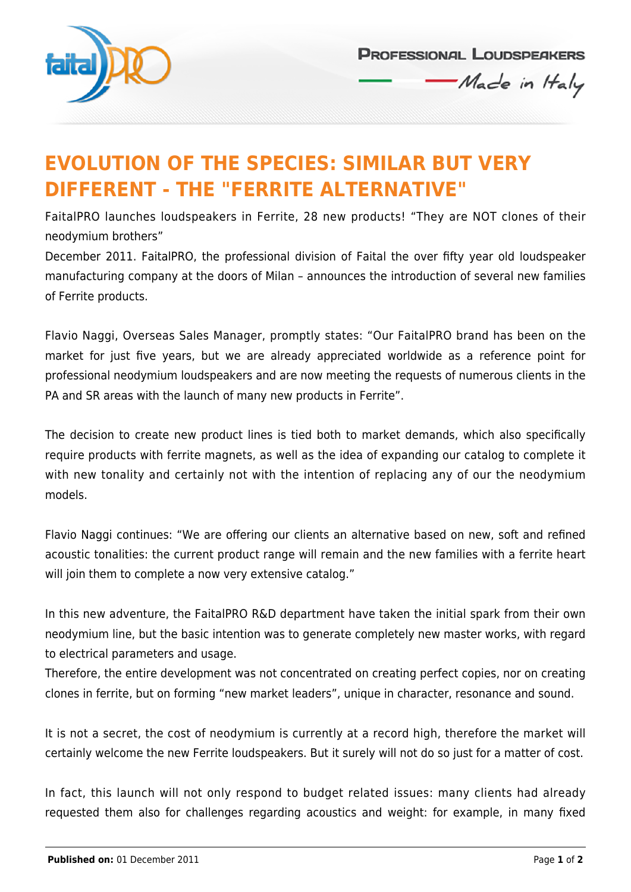

**PROFESSIONAL LOUDSPEAKERS** Made in Haly

## **EVOLUTION OF THE SPECIES: SIMILAR BUT VERY DIFFERENT - THE "FERRITE ALTERNATIVE"**

FaitalPRO launches loudspeakers in Ferrite, 28 new products! "They are NOT clones of their neodymium brothers"

December 2011. FaitalPRO, the professional division of Faital the over fifty year old loudspeaker manufacturing company at the doors of Milan – announces the introduction of several new families of Ferrite products.

Flavio Naggi, Overseas Sales Manager, promptly states: "Our FaitalPRO brand has been on the market for just five years, but we are already appreciated worldwide as a reference point for professional neodymium loudspeakers and are now meeting the requests of numerous clients in the PA and SR areas with the launch of many new products in Ferrite".

The decision to create new product lines is tied both to market demands, which also specifically require products with ferrite magnets, as well as the idea of expanding our catalog to complete it with new tonality and certainly not with the intention of replacing any of our the neodymium models.

Flavio Naggi continues: "We are offering our clients an alternative based on new, soft and refined acoustic tonalities: the current product range will remain and the new families with a ferrite heart will join them to complete a now very extensive catalog."

In this new adventure, the FaitalPRO R&D department have taken the initial spark from their own neodymium line, but the basic intention was to generate completely new master works, with regard to electrical parameters and usage.

Therefore, the entire development was not concentrated on creating perfect copies, nor on creating clones in ferrite, but on forming "new market leaders", unique in character, resonance and sound.

It is not a secret, the cost of neodymium is currently at a record high, therefore the market will certainly welcome the new Ferrite loudspeakers. But it surely will not do so just for a matter of cost.

In fact, this launch will not only respond to budget related issues: many clients had already requested them also for challenges regarding acoustics and weight: for example, in many fixed